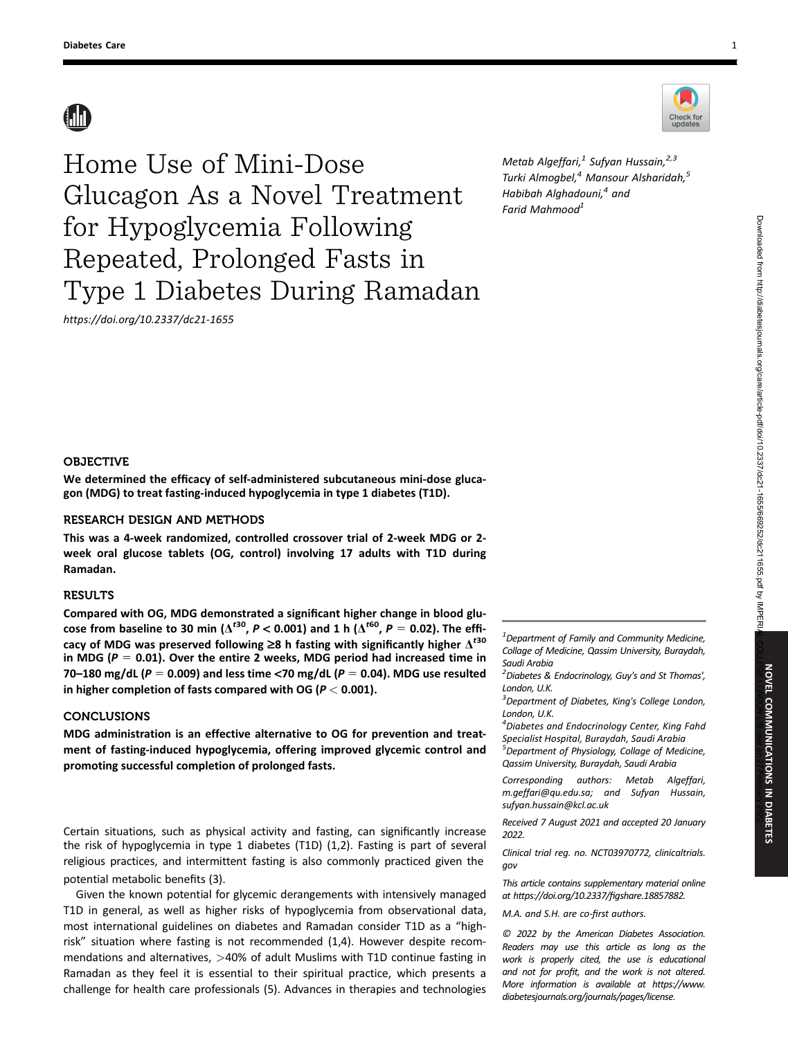

https://doi.org/10.2337/dc21-1655

Metab Algeffari, $1$  Sufyan Hussain, $2,3$ Turki Almogbel,<sup>4</sup> Mansour Alsharidah,<sup>5</sup> Habibah Alghadouni,<sup>4</sup> and Farid Mahmood<sup>1</sup>

# OBJECTIVE

We determined the efficacy of self-administered subcutaneous mini-dose glucagon (MDG) to treat fasting-induced hypoglycemia in type 1 diabetes (T1D).

# RESEARCH DESIGN AND METHODS

This was a 4-week randomized, controlled crossover trial of 2-week MDG or 2 week oral glucose tablets (OG, control) involving 17 adults with T1D during Ramadan.

# **RESULTS**

Compared with OG, MDG demonstrated a significant higher change in blood glucose from baseline to 30 min ( $\Delta^{t30}$ ,  $P < 0.001$ ) and 1 h ( $\Delta^{t60}$ ,  $P = 0.02$ ). The efficacy of MDG was preserved following  $\geq$ 8 h fasting with significantly higher  $\Delta^{t30}$ in MDG ( $P = 0.01$ ). Over the entire 2 weeks, MDG period had increased time in 70–180 mg/dL ( $P = 0.009$ ) and less time <70 mg/dL ( $P = 0.04$ ). MDG use resulted in higher completion of fasts compared with OG ( $P < 0.001$ ).

# CONCLUSIONS

MDG administration is an effective alternative to OG for prevention and treatment of fasting-induced hypoglycemia, offering improved glycemic control and promoting successful completion of prolonged fasts.

Certain situations, such as physical activity and fasting, can significantly increase the risk of hypoglycemia in type 1 diabetes (T1D) (1,2). Fasting is part of several religious practices, and intermittent fasting is also commonly practiced given the potential metabolic benefits (3).

Given the known potential for glycemic derangements with intensively managed T1D in general, as well as higher risks of hypoglycemia from observational data, most international guidelines on diabetes and Ramadan consider T1D as a "highrisk" situation where fasting is not recommended (1,4). However despite recommendations and alternatives, >40% of adult Muslims with T1D continue fasting in Ramadan as they feel it is essential to their spiritual practice, which presents a challenge for health care professionals (5). Advances in therapies and technologies

 $^{\text{1}}$ Department of Family and Community Medicine, Collage of Medicine, Qassim University, Buraydah, Saudi Arabia

 $^{2}$ Diabetes & Endocrinology, Guy's and St Thomas', London, U.K.

<sup>3</sup>Department of Diabetes, King's College London, London, U.K.

<sup>4</sup> Diabetes and Endocrinology Center, King Fahd Specialist Hospital, Buraydah, Saudi Arabia <sup>5</sup>Department of Physiology, Collage of Medicine, Qassim University, Buraydah, Saudi Arabia

Corresponding authors: Metab Algeffari, [m.geffari@qu.edu.sa](mailto:m.geffari@qu.edu.sa); and Sufyan Hussain, [sufyan.hussain@kcl.ac.uk](mailto:sufyan.hussain@kcl.ac.uk)

Received 7 August 2021 and accepted 20 January 2022.

Clinical trial reg. no. NCT03970772, [clinicaltrials.](https://clinicaltrials.gov) [gov](https://clinicaltrials.gov)

This article contains supplementary material online at [https://doi.org/10.2337/](https://doi.org/10.2337/figshare.18857882)figshare.18857882.

M.A. and S.H. are co-first authors.

© 2022 by the American Diabetes Association. Readers may use this article as long as the work is properly cited, the use is educational and not for profit, and the work is not altered. More information is available at [https://www.](https://www.diabetesjournals.org/journals/pages/license) [diabetesjournals.org/journals/pages/license](https://www.diabetesjournals.org/journals/pages/license).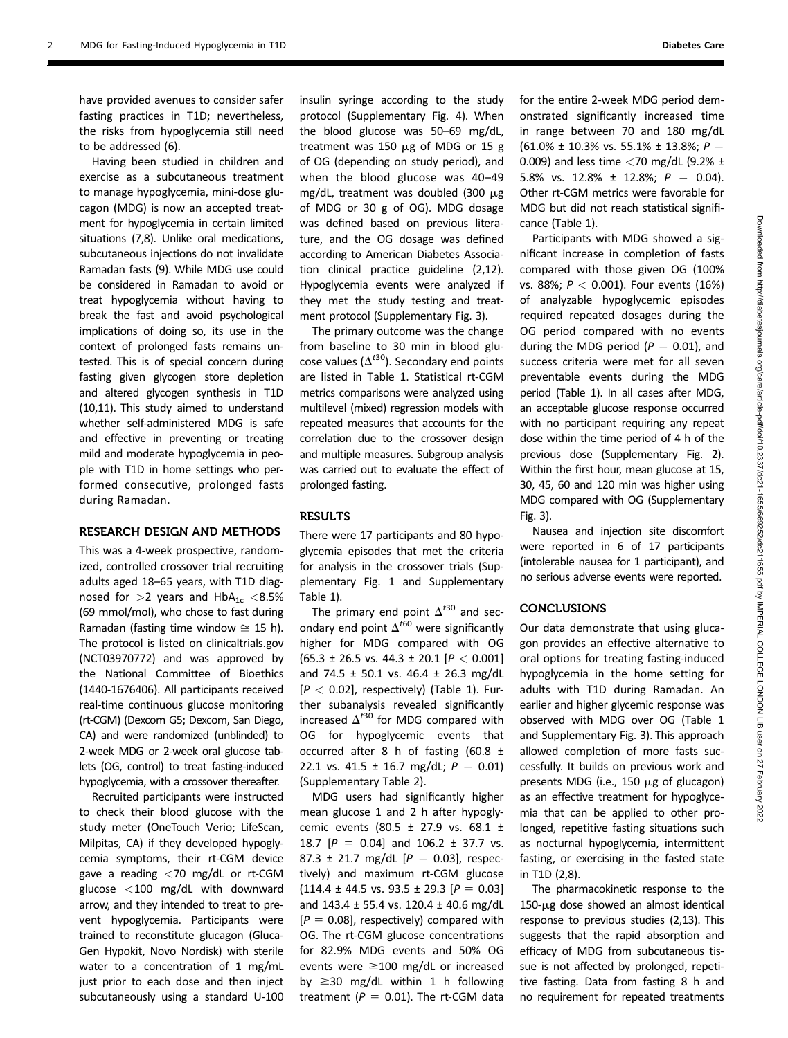have provided avenues to consider safer fasting practices in T1D; nevertheless, the risks from hypoglycemia still need to be addressed (6).

Having been studied in children and exercise as a subcutaneous treatment to manage hypoglycemia, mini-dose glucagon (MDG) is now an accepted treatment for hypoglycemia in certain limited situations (7,8). Unlike oral medications, subcutaneous injections do not invalidate Ramadan fasts (9). While MDG use could be considered in Ramadan to avoid or treat hypoglycemia without having to break the fast and avoid psychological implications of doing so, its use in the context of prolonged fasts remains untested. This is of special concern during fasting given glycogen store depletion and altered glycogen synthesis in T1D (10,11). This study aimed to understand whether self-administered MDG is safe and effective in preventing or treating mild and moderate hypoglycemia in people with T1D in home settings who performed consecutive, prolonged fasts during Ramadan.

### RESEARCH DESIGN AND METHODS

This was a 4-week prospective, randomized, controlled crossover trial recruiting adults aged 18–65 years, with T1D diagnosed for  $>2$  years and  $HbA_{1c} < 8.5%$ (69 mmol/mol), who chose to fast during Ramadan (fasting time window  $\approx$  15 h). The protocol is listed on [clinicaltrials.gov](https://clinicaltrials.gov) (NCT03970772) and was approved by the National Committee of Bioethics (1440-1676406). All participants received real-time continuous glucose monitoring (rt-CGM) (Dexcom G5; Dexcom, San Diego, CA) and were randomized (unblinded) to 2-week MDG or 2-week oral glucose tablets (OG, control) to treat fasting-induced hypoglycemia, with a crossover thereafter.

Recruited participants were instructed to check their blood glucose with the study meter (OneTouch Verio; LifeScan, Milpitas, CA) if they developed hypoglycemia symptoms, their rt-CGM device gave a reading  $\langle 70 \rangle$  mg/dL or rt-CGM glucose <100 mg/dL with downward arrow, and they intended to treat to prevent hypoglycemia. Participants were trained to reconstitute glucagon (Gluca-Gen Hypokit, Novo Nordisk) with sterile water to a concentration of 1 mg/mL just prior to each dose and then inject subcutaneously using a standard U-100 insulin syringe according to the study protocol ([Supplementary Fig. 4](https://doi.org/10.2337/figshare.18857882)). When the blood glucose was 50–69 mg/dL, treatment was 150  $\mu$ g of MDG or 15 g of OG (depending on study period), and when the blood glucose was 40–49 mg/dL, treatment was doubled (300  $\mu$ g of MDG or 30 g of OG). MDG dosage was defined based on previous literature, and the OG dosage was defined according to American Diabetes Association clinical practice guideline (2,12). Hypoglycemia events were analyzed if they met the study testing and treatment protocol [\(Supplementary Fig. 3](https://doi.org/10.2337/figshare.18857882)).

The primary outcome was the change from baseline to 30 min in blood glucose values ( $\Delta^{t30}$ ). Secondary end points are listed in Table 1. Statistical rt-CGM metrics comparisons were analyzed using multilevel (mixed) regression models with repeated measures that accounts for the correlation due to the crossover design and multiple measures. Subgroup analysis was carried out to evaluate the effect of prolonged fasting.

## RESULTS

There were 17 participants and 80 hypoglycemia episodes that met the criteria for analysis in the crossover trials [\(Sup](https://doi.org/10.2337/figshare.18857882)[plementary Fig. 1](https://doi.org/10.2337/figshare.18857882) and [Supplementary](https://doi.org/10.2337/figshare.18857882) [Table 1](https://doi.org/10.2337/figshare.18857882)).

The primary end point  $\Delta^{t30}$  and secondary end point  $\Delta^{t60}$  were significantly higher for MDG compared with OG  $(65.3 \pm 26.5 \text{ vs. } 44.3 \pm 20.1 \text{ } [P \lt 0.001]$ and 74.5  $\pm$  50.1 vs. 46.4  $\pm$  26.3 mg/dL  $[P < 0.02]$ , respectively) (Table 1). Further subanalysis revealed significantly increased  $\Delta^{t30}$  for MDG compared with OG for hypoglycemic events that occurred after 8 h of fasting (60.8  $\pm$ 22.1 vs. 41.5  $\pm$  16.7 mg/dL;  $P = 0.01$ ) ([Supplementary Table 2](https://doi.org/10.2337/figshare.18857882)).

MDG users had significantly higher mean glucose 1 and 2 h after hypoglycemic events (80.5 ± 27.9 vs. 68.1 ± 18.7 [ $P = 0.04$ ] and 106.2 ± 37.7 vs. 87.3 ± 21.7 mg/dL  $[P = 0.03]$ , respectively) and maximum rt-CGM glucose  $(114.4 \pm 44.5 \text{ vs. } 93.5 \pm 29.3 \text{ [}P = 0.03]$ and 143.4 ± 55.4 vs. 120.4 ± 40.6 mg/dL  $[P = 0.08]$ , respectively) compared with OG. The rt-CGM glucose concentrations for 82.9% MDG events and 50% OG events were  $\geq$ 100 mg/dL or increased by  $\geq$ 30 mg/dL within 1 h following treatment ( $P = 0.01$ ). The rt-CGM data

for the entire 2-week MDG period demonstrated significantly increased time in range between 70 and 180 mg/dL  $(61.0\% \pm 10.3\% \text{ vs. } 55.1\% \pm 13.8\%; P =$ 0.009) and less time  $<$  70 mg/dL (9.2%  $\pm$ 5.8% vs. 12.8%  $\pm$  12.8%;  $P = 0.04$ ). Other rt-CGM metrics were favorable for MDG but did not reach statistical significance (Table 1).

Participants with MDG showed a significant increase in completion of fasts compared with those given OG (100% vs. 88%;  $P < 0.001$ ). Four events (16%) of analyzable hypoglycemic episodes required repeated dosages during the OG period compared with no events during the MDG period ( $P = 0.01$ ), and success criteria were met for all seven preventable events during the MDG period (Table 1). In all cases after MDG, an acceptable glucose response occurred with no participant requiring any repeat dose within the time period of 4 h of the previous dose [\(Supplementary Fig. 2\)](https://doi.org/10.2337/figshare.18857882). Within the first hour, mean glucose at 15, 30, 45, 60 and 120 min was higher using MDG compared with OG [\(Supplementary](https://doi.org/10.2337/figshare.18857882) [Fig. 3](https://doi.org/10.2337/figshare.18857882)).

Nausea and injection site discomfort were reported in 6 of 17 participants (intolerable nausea for 1 participant), and no serious adverse events were reported.

#### **CONCLUSIONS**

Our data demonstrate that using glucagon provides an effective alternative to oral options for treating fasting-induced hypoglycemia in the home setting for adults with T1D during Ramadan. An earlier and higher glycemic response was observed with MDG over OG (Table 1 and [Supplementary Fig. 3\)](https://doi.org/10.2337/figshare.18857882). This approach allowed completion of more fasts successfully. It builds on previous work and presents MDG (i.e., 150 µg of glucagon) as an effective treatment for hypoglycemia that can be applied to other prolonged, repetitive fasting situations such as nocturnal hypoglycemia, intermittent fasting, or exercising in the fasted state in T1D (2,8).

The pharmacokinetic response to the  $150$ - $\mu$ g dose showed an almost identical response to previous studies (2,13). This suggests that the rapid absorption and efficacy of MDG from subcutaneous tissue is not affected by prolonged, repetitive fasting. Data from fasting 8 h and no requirement for repeated treatments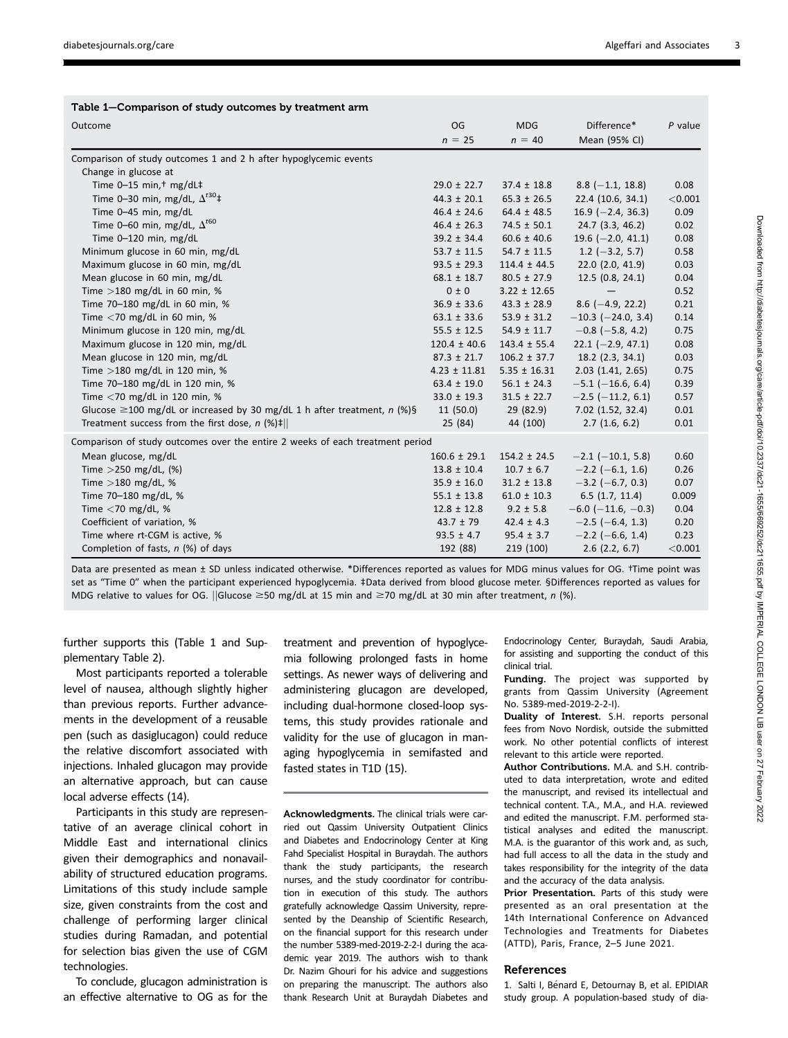| Table 1-Comparison of study outcomes by treatment arm                         |                  |                                                                                                                                                                     |                              |           |
|-------------------------------------------------------------------------------|------------------|---------------------------------------------------------------------------------------------------------------------------------------------------------------------|------------------------------|-----------|
| Outcome                                                                       | OG<br>$n = 25$   | <b>MDG</b><br>$n = 40$                                                                                                                                              | Difference*<br>Mean (95% CI) | $P$ value |
|                                                                               |                  |                                                                                                                                                                     |                              |           |
| Change in glucose at                                                          |                  |                                                                                                                                                                     |                              |           |
| Time $0-15$ min, <sup>†</sup> mg/dL‡                                          | $29.0 \pm 22.7$  | $37.4 \pm 18.8$                                                                                                                                                     | $8.8$ (-1.1, 18.8)           | 0.08      |
| Time 0-30 min, mg/dL, $\Delta^{t30}$ ‡                                        | $44.3 \pm 20.1$  | $65.3 \pm 26.5$                                                                                                                                                     | 22.4 (10.6, 34.1)            | < 0.001   |
| Time 0-45 min, mg/dL                                                          | $46.4 \pm 24.6$  | $64.4 \pm 48.5$                                                                                                                                                     | $16.9$ (-2.4, 36.3)          | 0.09      |
| Time 0-60 min, mg/dL, $\Delta^{t60}$                                          | $46.4 \pm 26.3$  | $74.5 \pm 50.1$                                                                                                                                                     | 24.7 (3.3, 46.2)             | 0.02      |
| Time 0-120 min, mg/dL                                                         | $39.2 \pm 34.4$  | $60.6 \pm 40.6$                                                                                                                                                     | 19.6 $(-2.0, 41.1)$          | 0.08      |
| Minimum glucose in 60 min, mg/dL                                              | $53.7 \pm 11.5$  | $54.7 \pm 11.5$                                                                                                                                                     | $1.2$ (-3.2, 5.7)            | 0.58      |
| Maximum glucose in 60 min, mg/dL                                              | $93.5 \pm 29.3$  | $114.4 \pm 44.5$                                                                                                                                                    | 22.0 (2.0, 41.9)             | 0.03      |
| Mean glucose in 60 min, mg/dL                                                 | $68.1 \pm 18.7$  | $80.5 \pm 27.9$                                                                                                                                                     | 12.5 (0.8, 24.1)             | 0.04      |
| Time $>180$ mg/dL in 60 min, %                                                | 0 ± 0            | $3.22 \pm 12.65$                                                                                                                                                    |                              | 0.52      |
| Time 70-180 mg/dL in 60 min, %                                                | $36.9 \pm 33.6$  | $43.3 \pm 28.9$                                                                                                                                                     | $8.6$ (-4.9, 22.2)           | 0.21      |
| Time $<$ 70 mg/dL in 60 min, %                                                | $63.1 \pm 33.6$  | $53.9 \pm 31.2$                                                                                                                                                     | $-10.3$ ( $-24.0$ , 3.4)     | 0.14      |
| Minimum glucose in 120 min, mg/dL                                             | $55.5 \pm 12.5$  | $54.9 \pm 11.7$                                                                                                                                                     | $-0.8$ ( $-5.8$ , 4.2)       | 0.75      |
| Maximum glucose in 120 min, mg/dL                                             | $120.4 \pm 40.6$ | $143.4 \pm 55.4$                                                                                                                                                    | $22.1 (-2.9, 47.1)$          | 0.08      |
| Mean glucose in 120 min, mg/dL                                                | $87.3 \pm 21.7$  | $106.2 \pm 37.7$                                                                                                                                                    | $18.2$ (2.3, 34.1)           | 0.03      |
| Time $>180$ mg/dL in 120 min, %                                               | $4.23 \pm 11.81$ | $5.35 \pm 16.31$                                                                                                                                                    | $2.03$ $(1.41, 2.65)$        | 0.75      |
| Time 70-180 mg/dL in 120 min, %                                               | $63.4 \pm 19.0$  | $56.1 \pm 24.3$                                                                                                                                                     | $-5.1$ ( $-16.6$ , 6.4)      | 0.39      |
| Time $<$ 70 mg/dL in 120 min, %                                               | $33.0 \pm 19.3$  | $31.5 \pm 22.7$                                                                                                                                                     | $-2.5$ ( $-11.2$ , 6.1)      | 0.57      |
| Glucose $\geq$ 100 mg/dL or increased by 30 mg/dL 1 h after treatment, n (%)§ | 11(50.0)         | 29 (82.9)                                                                                                                                                           | 7.02 (1.52, 32.4)            | 0.01      |
| Treatment success from the first dose, $n$ (%)‡                               | 25 (84)          | 44 (100)                                                                                                                                                            | 2.7(1.6, 6.2)                | 0.01      |
| Comparison of study outcomes over the entire 2 weeks of each treatment period |                  |                                                                                                                                                                     |                              |           |
| Mean glucose, mg/dL                                                           | $160.6 \pm 29.1$ | $154.2 \pm 24.5$                                                                                                                                                    | $-2.1$ ( $-10.1$ , 5.8)      | 0.60      |
| Time $>$ 250 mg/dL, (%)                                                       | $13.8 \pm 10.4$  | $10.7 \pm 6.7$                                                                                                                                                      | $-2.2$ (-6.1, 1.6)           | 0.26      |
| Time $>180$ mg/dL, %                                                          | $35.9 \pm 16.0$  | $31.2 \pm 13.8$                                                                                                                                                     | $-3.2$ (-6.7, 0.3)           | 0.07      |
| Time 70-180 mg/dL, %                                                          | $55.1 \pm 13.8$  | $61.0 \pm 10.3$                                                                                                                                                     | 6.5(1.7, 11.4)               | 0.009     |
| Time $<$ 70 mg/dL, %                                                          | $12.8 \pm 12.8$  | $9.2 \pm 5.8$                                                                                                                                                       | $-6.0$ ( $-11.6$ , $-0.3$ )  | 0.04      |
| Coefficient of variation, %                                                   | $43.7 \pm 79$    | $42.4 \pm 4.3$                                                                                                                                                      | $-2.5$ (-6.4, 1.3)           | 0.20      |
| Time where rt-CGM is active, %                                                | $93.5 \pm 4.7$   | $95.4 \pm 3.7$                                                                                                                                                      | $-2.2$ (-6.6, 1.4)           | 0.23      |
| Completion of fasts, $n$ (%) of days                                          | 192 (88)         | 219 (100)                                                                                                                                                           | $2.6$ (2.2, 6.7)             | < 0.001   |
| at CD contains to dis-                                                        |                  | $\lambda$ and $\lambda$ and $\lambda$ and $\lambda$ and $\lambda$ and $\lambda$ and $\lambda$ and $\lambda$ and $\lambda$ and $\lambda$ and $\lambda$ and $\lambda$ | $$ $$ $$ $$ $$ $$ $$         |           |

Data are presented as mean ± SD unless indicated otherwise. \*Differences reported as values for MDG minus values for OG. †Time point was set as "Time 0" when the participant experienced hypoglycemia. ‡Data derived from blood glucose meter. §Differences reported as values for MDG relative to values for OG. ||Glucose  $\geq$ 50 mg/dL at 15 min and  $\geq$ 70 mg/dL at 30 min after treatment, n (%).

further supports this (Table 1 and [Sup](https://doi.org/10.2337/figshare.18857882)[plementary Table 2](https://doi.org/10.2337/figshare.18857882)).

Most participants reported a tolerable level of nausea, although slightly higher than previous reports. Further advancements in the development of a reusable pen (such as dasiglucagon) could reduce the relative discomfort associated with injections. Inhaled glucagon may provide an alternative approach, but can cause local adverse effects (14).

Participants in this study are representative of an average clinical cohort in Middle East and international clinics given their demographics and nonavailability of structured education programs. Limitations of this study include sample size, given constraints from the cost and challenge of performing larger clinical studies during Ramadan, and potential for selection bias given the use of CGM technologies.

To conclude, glucagon administration is an effective alternative to OG as for the treatment and prevention of hypoglycemia following prolonged fasts in home settings. As newer ways of delivering and administering glucagon are developed, including dual-hormone closed-loop systems, this study provides rationale and validity for the use of glucagon in managing hypoglycemia in semifasted and fasted states in T1D (15).

Acknowledgments. The clinical trials were carried out Qassim University Outpatient Clinics and Diabetes and Endocrinology Center at King Fahd Specialist Hospital in Buraydah. The authors thank the study participants, the research nurses, and the study coordinator for contribution in execution of this study. The authors gratefully acknowledge Qassim University, represented by the Deanship of Scientific Research, on the financial support for this research under the number 5389-med-2019-2-2-I during the academic year 2019. The authors wish to thank Dr. Nazim Ghouri for his advice and suggestions on preparing the manuscript. The authors also thank Research Unit at Buraydah Diabetes and Endocrinology Center, Buraydah, Saudi Arabia, for assisting and supporting the conduct of this clinical trial.

Funding. The project was supported by grants from Qassim University (Agreement No. 5389-med-2019-2-2-I).

Duality of Interest. S.H. reports personal fees from Novo Nordisk, outside the submitted work. No other potential conflicts of interest relevant to this article were reported.

Author Contributions. M.A. and S.H. contributed to data interpretation, wrote and edited the manuscript, and revised its intellectual and technical content. T.A., M.A., and H.A. reviewed and edited the manuscript. F.M. performed statistical analyses and edited the manuscript. M.A. is the guarantor of this work and, as such, had full access to all the data in the study and takes responsibility for the integrity of the data and the accuracy of the data analysis.

Prior Presentation. Parts of this study were presented as an oral presentation at the 14th International Conference on Advanced Technologies and Treatments for Diabetes (ATTD), Paris, France, 2–5 June 2021.

### References

1. Salti I, Bénard E, Detournay B, et al. EPIDIAR study group. A population-based study of dia